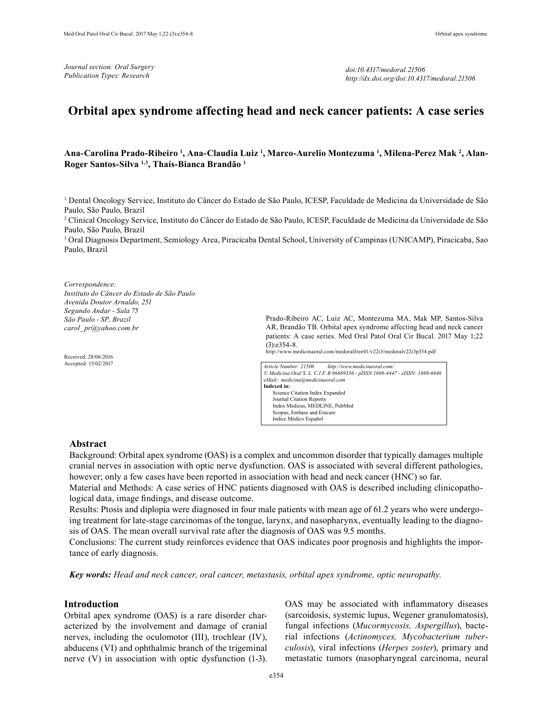*doi:10.4317/medoral.21506 http://dx.doi.org/doi:10.4317/medoral.21506*

# **Orbital apex syndrome affecting head and neck cancer patients: A case series**

### Ana-Carolina Prado-Ribeiro <sup>1</sup>, Ana-Claudia Luiz <sup>1</sup>, Marco-Aurelio Montezuma <sup>1</sup>, Milena-Perez Mak <sup>2</sup>, Alan-**Roger Santos-Silva 1,3, Thaís-Bianca Brandão 1**

1 Dental Oncology Service, Instituto do Câncer do Estado de São Paulo, ICESP, Faculdade de Medicina da Universidade de São Paulo, São Paulo, Brazil

2 Clinical Oncology Service, Instituto do Câncer do Estado de São Paulo, ICESP, Faculdade de Medicina da Universidade de São Paulo, São Paulo, Brazil

3 Oral Diagnosis Department, Semiology Area, Piracicaba Dental School, University of Campinas (UNICAMP), Piracicaba, Sao Paulo, Brazil

#### *Correspondence: Instituto do Câncer do Estado de São Paulo Avenida Doutor Arnaldo, 251 Segundo Andar - Sala 75 São Paulo - SP, Brazil carol\_ pr@yahoo.com.br*

Received: 28/06/2016 Accepted: 15/02/2017

Prado-Ribeiro AC, Luiz AC, Montezuma MA, Mak MP, Santos-Silva AR, Brandão TB. Orbital apex syndrome affecting head and neck cancer patients: A case series. Med Oral Patol Oral Cir Bucal. 2017 May 1;22 (3):e354-8.

http://www.medicinaoral.com/medoralfree01/v22i3/medoralv22i3p354.pdf

*Article Number: 21506 http://www.medicinaoral.com/ © Medicina Oral S. L. C.I.F. B 96689336 - pISSN 1698-4447 - eISSN: 1698-6946 eMail: medicina@medicinaoral.com*  **Indexed in:**  Science Citation Index Expanded Journal Citation Reports Index Medicus, MEDLINE, PubMed Scopus, Embase and Emcare Indice Médico Español

### **Abstract**

Background: Orbital apex syndrome (OAS) is a complex and uncommon disorder that typically damages multiple cranial nerves in association with optic nerve dysfunction. OAS is associated with several different pathologies, however; only a few cases have been reported in association with head and neck cancer (HNC) so far.

Material and Methods: A case series of HNC patients diagnosed with OAS is described including clinicopathological data, image findings, and disease outcome.

Results: Ptosis and diplopia were diagnosed in four male patients with mean age of 61.2 years who were undergoing treatment for late-stage carcinomas of the tongue, larynx, and nasopharynx, eventually leading to the diagnosis of OAS. The mean overall survival rate after the diagnosis of OAS was 9.5 months.

Conclusions: The current study reinforces evidence that OAS indicates poor prognosis and highlights the importance of early diagnosis.

*Key words: Head and neck cancer, oral cancer, metastasis, orbital apex syndrome, optic neuropathy.*

### **Introduction**

Orbital apex syndrome (OAS) is a rare disorder characterized by the involvement and damage of cranial nerves, including the oculomotor (III), trochlear (IV), abducens (VI) and ophthalmic branch of the trigeminal nerve (V) in association with optic dysfunction (1-3).

OAS may be associated with inflammatory diseases (sarcoidosis, systemic lupus, Wegener granulomatosis), fungal infections (*Mucormycosis, Aspergillus*), bacterial infections (*Actinomyces, Mycobacterium tuberculosis*), viral infections (*Herpes zoster*), primary and metastatic tumors (nasopharyngeal carcinoma, neural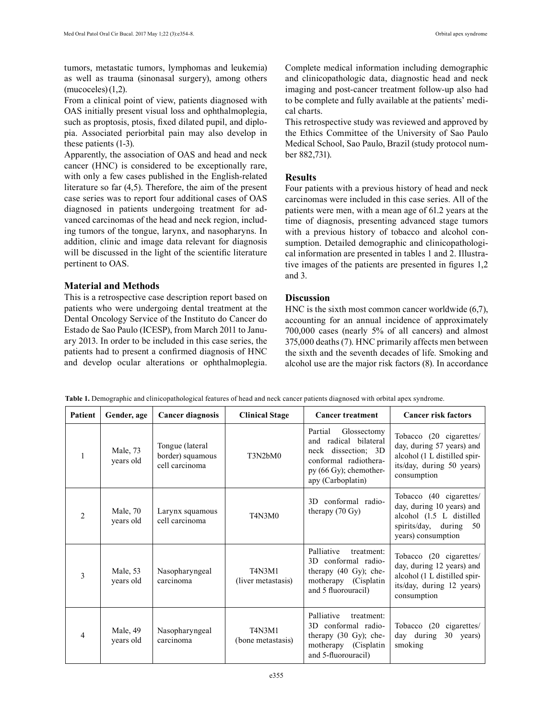tumors, metastatic tumors, lymphomas and leukemia) as well as trauma (sinonasal surgery), among others  $(mucoceles)(1,2)$ .

From a clinical point of view, patients diagnosed with OAS initially present visual loss and ophthalmoplegia, such as proptosis, ptosis, fixed dilated pupil, and diplopia. Associated periorbital pain may also develop in these patients (1-3).

Apparently, the association of OAS and head and neck cancer (HNC) is considered to be exceptionally rare, with only a few cases published in the English-related literature so far (4,5). Therefore, the aim of the present case series was to report four additional cases of OAS diagnosed in patients undergoing treatment for advanced carcinomas of the head and neck region, including tumors of the tongue, larynx, and nasopharyns. In addition, clinic and image data relevant for diagnosis will be discussed in the light of the scientific literature pertinent to OAS.

# **Material and Methods**

This is a retrospective case description report based on patients who were undergoing dental treatment at the Dental Oncology Service of the Instituto do Cancer do Estado de Sao Paulo (ICESP), from March 2011 to January 2013. In order to be included in this case series, the patients had to present a confirmed diagnosis of HNC and develop ocular alterations or ophthalmoplegia. Complete medical information including demographic and clinicopathologic data, diagnostic head and neck imaging and post-cancer treatment follow-up also had to be complete and fully available at the patients' medical charts.

This retrospective study was reviewed and approved by the Ethics Committee of the University of Sao Paulo Medical School, Sao Paulo, Brazil (study protocol number 882,731).

# **Results**

Four patients with a previous history of head and neck carcinomas were included in this case series. All of the patients were men, with a mean age of 61.2 years at the time of diagnosis, presenting advanced stage tumors with a previous history of tobacco and alcohol consumption. Detailed demographic and clinicopathological information are presented in tables 1 and 2. Illustrative images of the patients are presented in figures 1,2 and 3.

# **Discussion**

HNC is the sixth most common cancer worldwide (6,7), accounting for an annual incidence of approximately 700,000 cases (nearly 5% of all cancers) and almost 375,000 deaths (7). HNC primarily affects men between the sixth and the seventh decades of life. Smoking and alcohol use are the major risk factors (8). In accordance

|  | Table 1. Demographic and clinicopathological features of head and neck cancer patients diagnosed with orbital apex syndrome. |  |  |  |
|--|------------------------------------------------------------------------------------------------------------------------------|--|--|--|
|  |                                                                                                                              |  |  |  |
|  |                                                                                                                              |  |  |  |
|  |                                                                                                                              |  |  |  |

| Patient        | Gender, age           | <b>Cancer diagnosis</b>                               | <b>Clinical Stage</b>        | <b>Cancer treatment</b>                                                                                                                        | <b>Cancer risk factors</b>                                                                                                          |
|----------------|-----------------------|-------------------------------------------------------|------------------------------|------------------------------------------------------------------------------------------------------------------------------------------------|-------------------------------------------------------------------------------------------------------------------------------------|
|                | Male, 73<br>years old | Tongue (lateral<br>border) squamous<br>cell carcinoma | T3N2bM0                      | Glossectomy<br>Partial<br>and radical bilateral<br>neck dissection; 3D<br>conformal radiothera-<br>py (66 Gy); chemother-<br>apy (Carboplatin) | Tobacco (20 cigarettes/<br>day, during 57 years) and<br>alcohol (1 L distilled spir-<br>its/day, during 50 years)<br>consumption    |
| $\overline{2}$ | Male, 70<br>years old | Larynx squamous<br>cell carcinoma                     | <b>T4N3M0</b>                | 3D conformal radio-<br>therapy (70 Gy)                                                                                                         | Tobacco (40 cigarettes)<br>day, during 10 years) and<br>alcohol (1.5 L distilled<br>spirits/day, during<br>50<br>years) consumption |
| 3              | Male, 53<br>years old | Nasopharyngeal<br>carcinoma                           | T4N3M1<br>(liver metastasis) | Palliative<br>treatment:<br>3D conformal radio-<br>therapy $(40 \text{ Gy})$ ; che-<br>motherapy (Cisplatin<br>and 5 fluorouracil)             | Tobacco (20 cigarettes/<br>day, during 12 years) and<br>alcohol (1 L distilled spir-<br>its/day, during 12 years)<br>consumption    |
| 4              | Male, 49<br>years old | Nasopharyngeal<br>carcinoma                           | T4N3M1<br>(bone metastasis)  | Palliative<br>treatment:<br>3D conformal radio-<br>therapy (30 Gy); che-<br>motherapy (Cisplatin<br>and 5-fluorouracil)                        | Tobacco (20 cigarettes/<br>day during<br>30 years)<br>smoking                                                                       |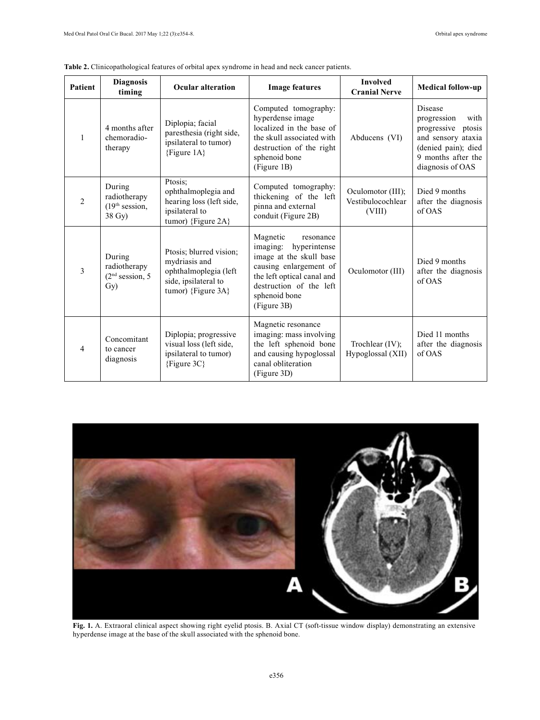| <b>Patient</b> | <b>Diagnosis</b><br>timing                                     | <b>Ocular alteration</b>                                                                                        | <b>Image features</b>                                                                                                                                                                           | <b>Involved</b><br><b>Cranial Nerve</b>          | <b>Medical follow-up</b>                                                                                                                              |
|----------------|----------------------------------------------------------------|-----------------------------------------------------------------------------------------------------------------|-------------------------------------------------------------------------------------------------------------------------------------------------------------------------------------------------|--------------------------------------------------|-------------------------------------------------------------------------------------------------------------------------------------------------------|
| $\mathbf{1}$   | 4 months after<br>chemoradio-<br>therapy                       | Diplopia; facial<br>paresthesia (right side,<br>ipsilateral to tumor)<br>{Figure $1A$ }                         | Computed tomography:<br>hyperdense image<br>localized in the base of<br>the skull associated with<br>destruction of the right<br>sphenoid bone<br>(Figure 1B)                                   | Abducens (VI)                                    | <b>Disease</b><br>with<br>progression<br>progressive<br>ptosis<br>and sensory ataxia<br>(denied pain); died<br>9 months after the<br>diagnosis of OAS |
| $\overline{2}$ | During<br>radiotherapy<br>(19 <sup>th</sup> session,<br>38 Gy) | Ptosis;<br>ophthalmoplegia and<br>hearing loss (left side,<br>ipsilateral to<br>tumor) {Figure 2A}              | Computed tomography:<br>thickening of the left<br>pinna and external<br>conduit (Figure 2B)                                                                                                     | Oculomotor (III);<br>Vestibulocochlear<br>(VIII) | Died 9 months<br>after the diagnosis<br>of OAS                                                                                                        |
| 3              | During<br>radiotherapy<br>(2 <sup>nd</sup> session, 5)<br>Gy)  | Ptosis; blurred vision;<br>mydriasis and<br>ophthalmoplegia (left<br>side, ipsilateral to<br>tumor) {Figure 3A} | Magnetic<br>resonance<br>imaging:<br>hyperintense<br>image at the skull base<br>causing enlargement of<br>the left optical canal and<br>destruction of the left<br>sphenoid bone<br>(Figure 3B) | Oculomotor (III)                                 | Died 9 months<br>after the diagnosis<br>of OAS                                                                                                        |
| $\overline{4}$ | Concomitant<br>to cancer<br>diagnosis                          | Diplopia; progressive<br>visual loss (left side,<br>ipsilateral to tumor)<br>${Figure 3C}$                      | Magnetic resonance<br>imaging: mass involving<br>the left sphenoid bone<br>and causing hypoglossal<br>canal obliteration<br>(Figure 3D)                                                         | Trochlear $(IV)$ :<br>Hypoglossal (XII)          | Died 11 months<br>after the diagnosis<br>of OAS                                                                                                       |

**Table 2.** Clinicopathological features of orbital apex syndrome in head and neck cancer patients.



**Fig. 1.** A. Extraoral clinical aspect showing right eyelid ptosis. B. Axial CT (soft-tissue window display) demonstrating an extensive hyperdense image at the base of the skull associated with the sphenoid bone.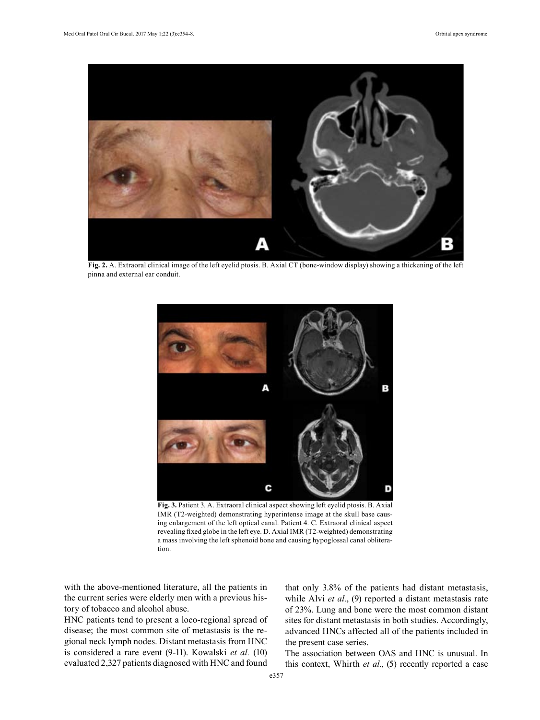

**Fig. 2.** A. Extraoral clinical image of the left eyelid ptosis. B. Axial CT (bone-window display) showing a thickening of the left pinna and external ear conduit.



**Fig. 3.** Patient 3. A. Extraoral clinical aspect showing left eyelid ptosis. B. Axial IMR (T2-weighted) demonstrating hyperintense image at the skull base causing enlargement of the left optical canal. Patient 4. C. Extraoral clinical aspect revealing fixed globe in the left eye. D. Axial IMR (T2-weighted) demonstrating a mass involving the left sphenoid bone and causing hypoglossal canal obliteration.

with the above-mentioned literature, all the patients in the current series were elderly men with a previous history of tobacco and alcohol abuse.

HNC patients tend to present a loco-regional spread of disease; the most common site of metastasis is the regional neck lymph nodes. Distant metastasis from HNC is considered a rare event (9-11). Kowalski *et al.* (10) evaluated 2,327 patients diagnosed with HNC and found

that only 3.8% of the patients had distant metastasis, while Alvi *et al.*, (9) reported a distant metastasis rate of 23%. Lung and bone were the most common distant sites for distant metastasis in both studies. Accordingly, advanced HNCs affected all of the patients included in the present case series.

The association between OAS and HNC is unusual. In this context, Whirth *et al.*, (5) recently reported a case